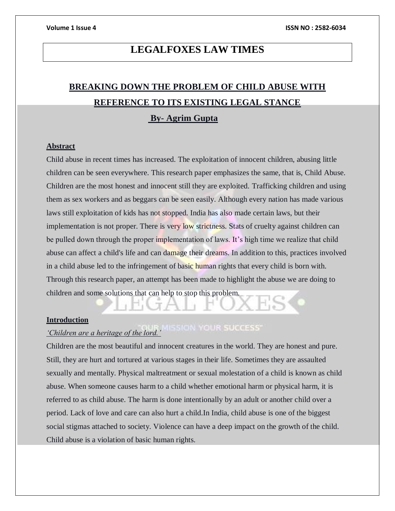## **LEGALFOXES LAW TIMES**

# **BREAKING DOWN THE PROBLEM OF CHILD ABUSE WITH REFERENCE TO ITS EXISTING LEGAL STANCE**

### **By- Agrim Gupta**

#### **Abstract**

Child abuse in recent times has increased. The exploitation of innocent children, abusing little children can be seen everywhere. This research paper emphasizes the same, that is, Child Abuse. Children are the most honest and innocent still they are exploited. Trafficking children and using them as sex workers and as beggars can be seen easily. Although every nation has made various laws still exploitation of kids has not stopped. India has also made certain laws, but their implementation is not proper. There is very low strictness. Stats of cruelty against children can be pulled down through the proper implementation of laws. It's high time we realize that child abuse can affect a child's life and can damage their dreams. In addition to this, practices involved in a child abuse led to the infringement of basic human rights that every child is born with. Through this research paper, an attempt has been made to highlight the abuse we are doing to children and some solutions that can help to stop this problem.

#### **Introduction**

# *'Children are a heritage of the lord.'*

Children are the most beautiful and innocent creatures in the world. They are honest and pure. Still, they are hurt and tortured at various stages in their life. Sometimes they are assaulted sexually and mentally. Physical maltreatment or sexual molestation of a child is known as child abuse. When someone causes harm to a child whether emotional harm or physical harm, it is referred to as child abuse. The harm is done intentionally by an adult or another child over a period. Lack of love and care can also hurt a child.In India, child abuse is one of the biggest social stigmas attached to society. Violence can have a deep impact on the growth of the child. Child abuse is a violation of basic human rights.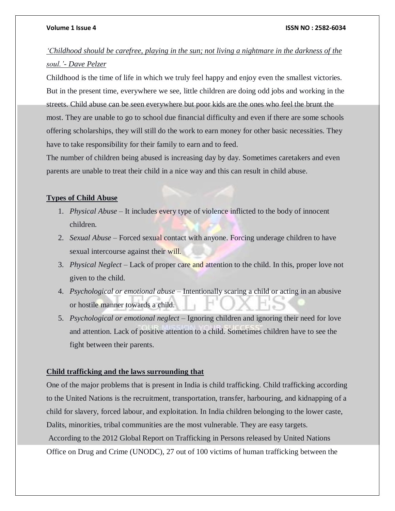#### **Volume 1 Issue 4 ISSN NO : 2582-6034**

### *'Childhood should be carefree, playing in the sun; not living a nightmare in the darkness of the soul.'- Dave Pelzer*

Childhood is the time of life in which we truly feel happy and enjoy even the smallest victories. But in the present time, everywhere we see, little children are doing odd jobs and working in the streets. Child abuse can be seen everywhere but poor kids are the ones who feel the brunt the most. They are unable to go to school due financial difficulty and even if there are some schools offering scholarships, they will still do the work to earn money for other basic necessities. They have to take responsibility for their family to earn and to feed.

The number of children being abused is increasing day by day. Sometimes caretakers and even parents are unable to treat their child in a nice way and this can result in child abuse.

#### **Types of Child Abuse**

- 1. *Physical Abuse* It includes every type of violence inflicted to the body of innocent children.
- 2. *Sexual Abuse* Forced sexual contact with anyone. Forcing underage children to have sexual intercourse against their will.
- 3. *Physical Neglect* Lack of proper care and attention to the child. In this, proper love not given to the child.
- 4. *Psychological or emotional abuse* Intentionally scaring a child or acting in an abusive or hostile manner towards a child.
- 5. *Psychological or emotional neglect* Ignoring children and ignoring their need for love and attention. Lack of positive attention to a child. Sometimes children have to see the fight between their parents.

#### **Child trafficking and the laws surrounding that**

One of the major problems that is present in India is child trafficking. Child trafficking according to the United Nations is the recruitment, transportation, transfer, harbouring, and kidnapping of a child for slavery, forced labour, and exploitation. In India children belonging to the lower caste, Dalits, minorities, tribal communities are the most vulnerable. They are easy targets. According to the 2012 Global Report on Trafficking in Persons released by United Nations Office on Drug and Crime (UNODC), 27 out of 100 victims of human trafficking between the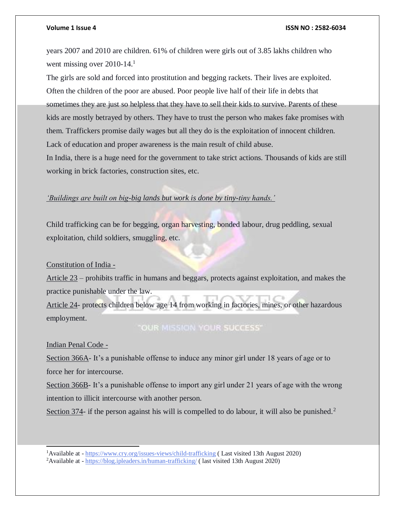#### **Volume 1 Issue 4 ISSN NO : 2582-6034**

years 2007 and 2010 are children. 61% of children were girls out of 3.85 lakhs children who went missing over 2010-14.<sup>1</sup>

The girls are sold and forced into prostitution and begging rackets. Their lives are exploited. Often the children of the poor are abused. Poor people live half of their life in debts that sometimes they are just so helpless that they have to sell their kids to survive. Parents of these kids are mostly betrayed by others. They have to trust the person who makes fake promises with them. Traffickers promise daily wages but all they do is the exploitation of innocent children. Lack of education and proper awareness is the main result of child abuse. In India, there is a huge need for the government to take strict actions. Thousands of kids are still working in brick factories, construction sites, etc.

#### *'Buildings are built on big-big lands but work is done by tiny-tiny hands.'*

Child trafficking can be for begging, organ harvesting, bonded labour, drug peddling, sexual exploitation, child soldiers, smuggling, etc.

#### Constitution of India -

Article 23 – prohibits traffic in humans and beggars, protects against exploitation, and makes the practice punishable under the law.

Article 24- protects children below age 14 from working in factories, mines, or other hazardous employment.

### "OUR MISSION YOUR SUCCESS"

#### Indian Penal Code -

l

Section 366A- It's a punishable offense to induce any minor girl under 18 years of age or to force her for intercourse.

Section 366B- It's a punishable offense to import any girl under 21 years of age with the wrong intention to illicit intercourse with another person.

Section 374- if the person against his will is compelled to do labour, it will also be punished.<sup>2</sup>

<sup>1</sup>Available at - <https://www.cry.org/issues-views/child-trafficking> ( Last visited 13th August 2020)

<sup>&</sup>lt;sup>2</sup>Available at - <https://blog.ipleaders.in/human-trafficking/> (last visited 13th August 2020)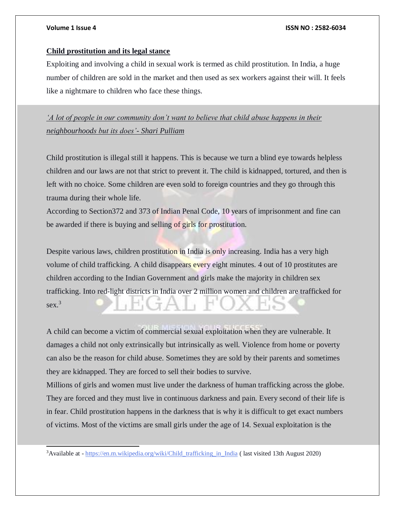l

#### **Volume 1 Issue 4 ISSN NO : 2582-6034**

### **Child prostitution and its legal stance**

Exploiting and involving a child in sexual work is termed as child prostitution. In India, a huge number of children are sold in the market and then used as sex workers against their will. It feels like a nightmare to children who face these things.

*'A lot of people in our community don't want to believe that child abuse happens in their neighbourhoods but its does'- Shari Pulliam*

Child prostitution is illegal still it happens. This is because we turn a blind eye towards helpless children and our laws are not that strict to prevent it. The child is kidnapped, tortured, and then is left with no choice. Some children are even sold to foreign countries and they go through this trauma during their whole life.

According to Section372 and 373 of Indian Penal Code, 10 years of imprisonment and fine can be awarded if there is buying and selling of girls for prostitution.

Despite various laws, children prostitution in India is only increasing. India has a very high volume of child trafficking. A child disappears every eight minutes. 4 out of 10 prostitutes are children according to the Indian Government and girls make the majority in children sex trafficking. Into red-light districts in India over 2 million women and children are trafficked for sex.<sup>3</sup>

A child can become a victim of commercial sexual exploitation when they are vulnerable. It damages a child not only extrinsically but intrinsically as well. Violence from home or poverty can also be the reason for child abuse. Sometimes they are sold by their parents and sometimes they are kidnapped. They are forced to sell their bodies to survive.

Millions of girls and women must live under the darkness of human trafficking across the globe. They are forced and they must live in continuous darkness and pain. Every second of their life is in fear. Child prostitution happens in the darkness that is why it is difficult to get exact numbers of victims. Most of the victims are small girls under the age of 14. Sexual exploitation is the

<sup>&</sup>lt;sup>3</sup>Available at - [https://en.m.wikipedia.org/wiki/Child\\_trafficking\\_in\\_India](https://en.m.wikipedia.org/wiki/Child_trafficking_in_India) ( last visited 13th August 2020)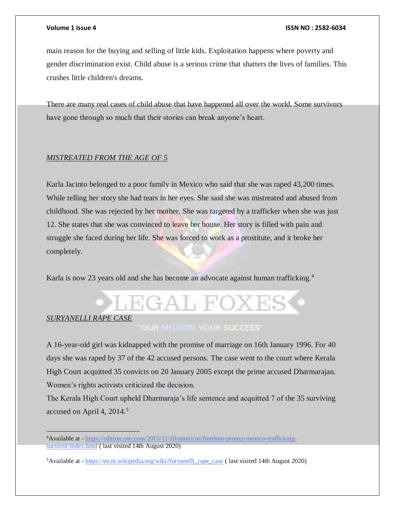#### **Volume 1 Issue 4 ISSN NO : 2582-6034**

main reason for the buying and selling of little kids. Exploitation happens where poverty and gender discrimination exist. Child abuse is a serious crime that shatters the lives of families. This crushes little children's dreams.

There are many real cases of child abuse that have happened all over the world. Some survivors have gone through so much that their stories can break anyone's heart.

#### *MISTREATED FROM THE AGE OF 5*

Karla Jacinto belonged to a poor family in Mexico who said that she was raped 43,200 times. While telling her story she had tears in her eyes. She said she was mistreated and abused from childhood. She was rejected by her mother. She was targeted by a trafficker when she was just 12. She states that she was convinced to leave her house. Her story is filled with pain and struggle she faced during her life. She was forced to work as a prostitute, and it broke her completely.

Karla is now 23 years old and she has become an advocate against human trafficking.<sup>4</sup>



A 16-year-old girl was kidnapped with the promise of marriage on 16th January 1996. For 40 days she was raped by 37 of the 42 accused persons. The case went to the court where Kerala High Court acquitted 35 convicts on 20 January 2005 except the prime accused Dharmarajan. Women's rights activists criticized the decision.

The Kerala High Court upheld Dharmaraja's life sentence and acquitted 7 of the 35 surviving accused on April 4, 2014.<sup>5</sup>

<sup>&</sup>lt;sup>4</sup>Available at - [https://edition.cnn.com/2015/11/10/americas/freedom-project-mexico-trafficking](https://edition.cnn.com/2015/11/10/americas/freedom-project-mexico-trafficking-survivor/index.html)[survivor/index.html](https://edition.cnn.com/2015/11/10/americas/freedom-project-mexico-trafficking-survivor/index.html) ( last visited 14th August 2020)

<sup>5</sup>Available at - [https://en.m.wikipedia.org/wiki/Suryanelli\\_rape\\_case](https://en.m.wikipedia.org/wiki/Suryanelli_rape_case) ( last visited 14th August 2020)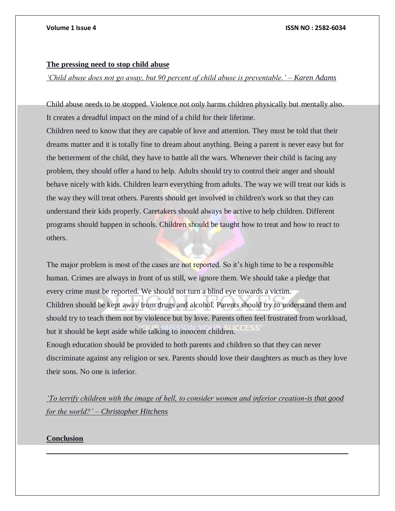#### **The pressing need to stop child abuse**

*'Child abuse does not go away, but 90 percent of child abuse is preventable.' – Karen Adams*

Child abuse needs to be stopped. Violence not only harms children physically but mentally also. It creates a dreadful impact on the mind of a child for their lifetime.

Children need to know that they are capable of love and attention. They must be told that their dreams matter and it is totally fine to dream about anything. Being a parent is never easy but for the betterment of the child, they have to battle all the wars. Whenever their child is facing any problem, they should offer a hand to help. Adults should try to control their anger and should behave nicely with kids. Children learn everything from adults. The way we will treat our kids is the way they will treat others. Parents should get involved in children's work so that they can understand their kids properly. Caretakers should always be active to help children. Different programs should happen in schools. Children should be taught how to treat and how to react to others.

The major problem is most of the cases are not reported. So it's high time to be a responsible human. Crimes are always in front of us still, we ignore them. We should take a pledge that every crime must be reported. We should not turn a blind eye towards a victim. Children should be kept away from drugs and alcohol. Parents should try to understand them and should try to teach them not by violence but by love. Parents often feel frustrated from workload, but it should be kept aside while talking to innocent children. Enough education should be provided to both parents and children so that they can never discriminate against any religion or sex. Parents should love their daughters as much as they love their sons. No one is inferior.

*'To terrify children with the image of hell, to consider women and inferior creation-is that good for the world?' – Christopher Hitchens*

### **Conclusion**

 $\overline{a}$